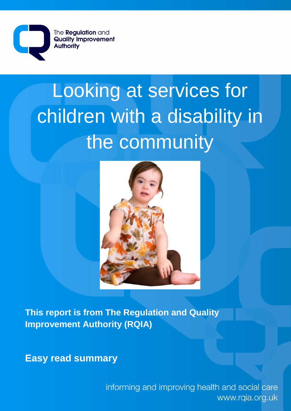

# Looking at services for children with a disability in the community



**This report is from The Regulation and Quality Improvement Authority (RQIA)**

**Easy read summary** 

informing and improving health and social care www.rqia.org.uk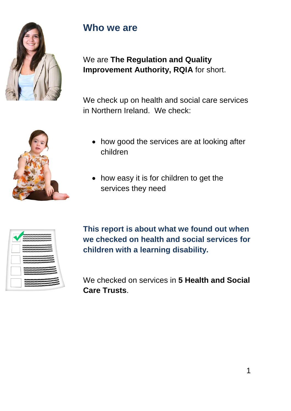

#### **Who we are**

We are **The Regulation and Quality Improvement Authority, RQIA** for short.

We check up on health and social care services in Northern Ireland. We check:



- how good the services are at looking after children
- how easy it is for children to get the services they need

| <b>BUSINESS PROPERTY OF THE STATE OF THE CONTROL CONTROL</b>                                                                                    |  |
|-------------------------------------------------------------------------------------------------------------------------------------------------|--|
|                                                                                                                                                 |  |
|                                                                                                                                                 |  |
|                                                                                                                                                 |  |
|                                                                                                                                                 |  |
| <b>TAXIONALISTA LIITALISTA LIITALISTA LIITALISTA LIITALISTA</b>                                                                                 |  |
| VALORIALORIALORIALORING PROPINSITÄÄTTÄÄTTÄ                                                                                                      |  |
| VACOUS COVALISTS ACCUSE OF THE TRANSPORTATION OF A                                                                                              |  |
| <b>VALUE AND RESIDENCE OF A STATE OF A STATE OF A STATE OF A</b>                                                                                |  |
| VALORALORRA EN LORRA EN EN PLOYALORRA EN LORR<br><b>TACTURE TRESTRESS RESISTENTIALS</b><br><b>TAXIOTA CONTACTIVISTICO IN CONTACTIVISTICO IN</b> |  |
| <b>TENTRATIVATIVATIVATIVATIVATIVATIVATE</b>                                                                                                     |  |
| <b>TASTASTASTASTASTASTASTASTASTASTASTAST</b> A                                                                                                  |  |
| <u>Telephistric programmation and the programmation</u>                                                                                         |  |
| <b>The TACTAGE AGE THE TACTAGE THE TACTAGE AND THE TACTAGE</b>                                                                                  |  |

**This report is about what we found out when we checked on health and social services for children with a learning disability.**

We checked on services in **5 Health and Social Care Trusts**.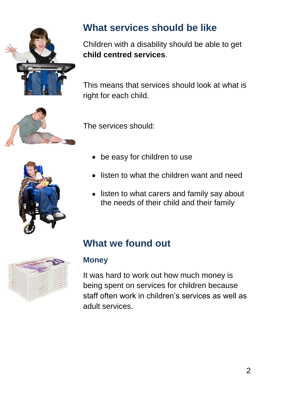

# **What services should be like**

Children with a disability should be able to get **child centred services**.

This means that services should look at what is right for each child.



The services should:

- 
- be easy for children to use
- listen to what the children want and need
- listen to what carers and family say about the needs of their child and their family



# **What we found out**

#### **Money**

It was hard to work out how much money is being spent on services for children because staff often work in children's services as well as adult services.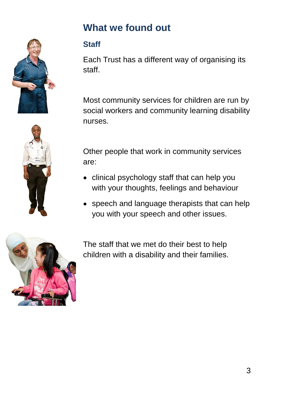

# **What we found out**

#### **Staff**

Each Trust has a different way of organising its staff.

Most community services for children are run by social workers and community learning disability nurses.

Other people that work in community services are:

- clinical psychology staff that can help you with your thoughts, feelings and behaviour
- speech and language therapists that can help you with your speech and other issues.



The staff that we met do their best to help children with a disability and their families.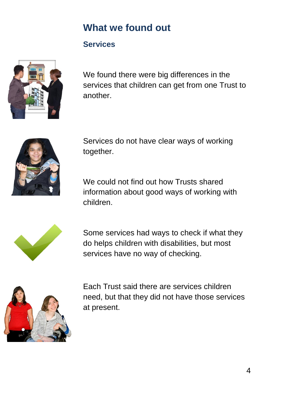### **What we found out**

#### **Services**



We found there were big differences in the services that children can get from one Trust to another.



Services do not have clear ways of working together.

We could not find out how Trusts shared information about good ways of working with children.



Some services had ways to check if what they do helps children with disabilities, but most services have no way of checking.



Each Trust said there are services children need, but that they did not have those services at present.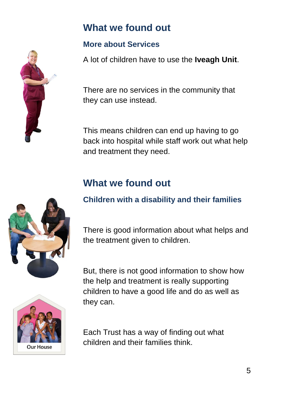### **What we found out**

#### **More about Services**

A lot of children have to use the **Iveagh Unit**.

There are no services in the community that they can use instead.

This means children can end up having to go back into hospital while staff work out what help and treatment they need.

# **What we found out**

#### **Children with a disability and their families**

There is good information about what helps and the treatment given to children.

But, there is not good information to show how the help and treatment is really supporting children to have a good life and do as well as they can.

Each Trust has a way of finding out what children and their families think.



**Our House** 

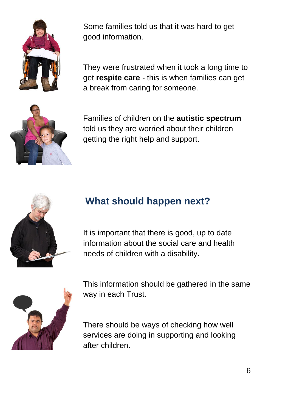

Some families told us that it was hard to get good information.

They were frustrated when it took a long time to get **respite care** - this is when families can get a break from caring for someone.



Families of children on the **autistic spectrum** told us they are worried about their children getting the right help and support.



### **What should happen next?**

It is important that there is good, up to date information about the social care and health needs of children with a disability.



This information should be gathered in the same way in each Trust.

There should be ways of checking how well services are doing in supporting and looking after children.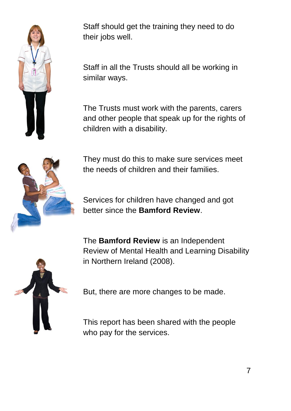

Staff should get the training they need to do their jobs well.

Staff in all the Trusts should all be working in similar ways.

The Trusts must work with the parents, carers and other people that speak up for the rights of children with a disability.



They must do this to make sure services meet the needs of children and their families.

Services for children have changed and got better since the **Bamford Review**.

The **Bamford Review** is an Independent Review of Mental Health and Learning Disability in Northern Ireland (2008).



But, there are more changes to be made.

This report has been shared with the people who pay for the services.